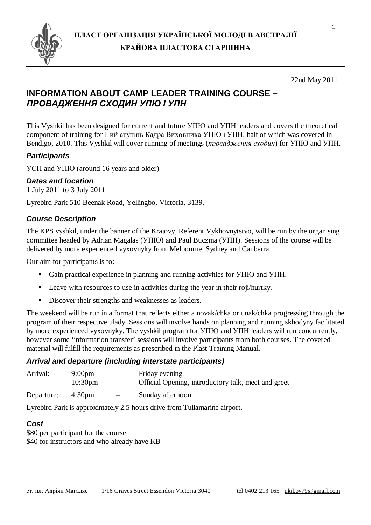

#### 22nd May 2011

## **INFORMATION ABOUT CAMP LEADER TRAINING COURSE –**  *ПРОВАДЖЕННЯ СХОДИН УПЮ І УПН*

This Vyshkil has been designed for current and future УПЮ and УПН leaders and covers the theoretical component of training for І-ий ступінь Кадра Виховника УПЮ і УПН, half of which was covered in Bendigo, 2010. This Vyshkil will cover running of meetings (*провадження сходин*) for УПЮ and УПН.

### *Participants*

УСП and УПЮ (around 16 years and older)

#### *Dates and location*

1 July 2011 to 3 July 2011

Lyrebird Park 510 Beenak Road, Yellingbo, Victoria, 3139.

#### *Course Description*

The KPS vyshkil, under the banner of the Krajovyj Referent Vykhovnytstvo, will be run by the organising committee headed by Adrian Magalas (УПЮ) and Paul Buczma (УПН). Sessions of the course will be delivered by more experienced vyxovnyky from Melbourne, Sydney and Canberra.

Our aim for participants is to:

- Gain practical experience in planning and running activities for УПЮ and УПН.
- Leave with resources to use in activities during the year in their roji/hurtky.
- Discover their strengths and weaknesses as leaders.

The weekend will be run in a format that reflects either a novak/chka or unak/chka progressing through the program of their respective ulady. Sessions will involve hands on planning and running skhodyny facilitated by more experienced vyxovnyky. The vyshkil program for УПЮ and УПН leaders will run concurrently, however some 'information transfer' sessions will involve participants from both courses. The covered material will fulfill the requirements as prescribed in the Plast Training Manual.

#### *Arrival and departure (including interstate participants)*

| Arrival:   | $9:00 \text{pm}$    | $\overline{\phantom{0}}$ | Friday evening                                      |  |  |
|------------|---------------------|--------------------------|-----------------------------------------------------|--|--|
|            | 10:30 <sub>pm</sub> | $\overline{\phantom{0}}$ | Official Opening, introductory talk, meet and greet |  |  |
| Departure: | 4:30 <sub>pm</sub>  | $\overline{\phantom{0}}$ | Sunday afternoon                                    |  |  |

Lyrebird Park is approximately 2.5 hours drive from Tullamarine airport.

#### *Cost*

\$80 per participant for the course \$40 for instructors and who already have KB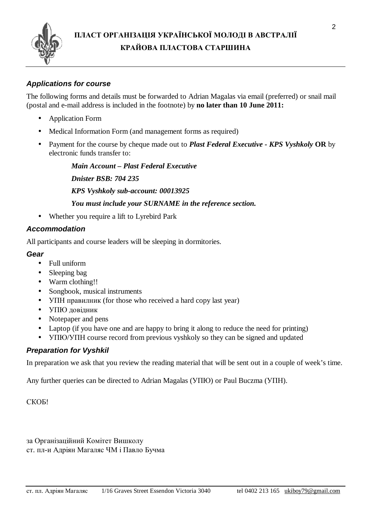

### *Applications for course*

The following forms and details must be forwarded to Adrian Magalas via email (preferred) or snail mail (postal and e-mail address is included in the footnote) by **no later than 10 June 2011:**

- Application Form
- Medical Information Form (and management forms as required)
- Payment for the course by cheque made out to *Plast Federal Executive - KPS Vyshkoly* **OR** by electronic funds transfer to:

*Main Account – Plast Federal Executive* 

*Dnister BSB: 704 235* 

*KPS Vyshkoly sub-account: 00013925* 

*You must include your SURNAME in the reference section.* 

• Whether you require a lift to Lyrebird Park

#### *Accommodation*

All participants and course leaders will be sleeping in dormitories.

#### *Gear*

- Full uniform
- Sleeping bag
- Warm clothing!!
- Songbook, musical instruments
- УПН правилник (for those who received a hard copy last year)
- УПЮ довідник
- Notepaper and pens
- Laptop (if you have one and are happy to bring it along to reduce the need for printing)
- УПЮ/УПН course record from previous vyshkoly so they can be signed and updated

#### *Preparation for Vyshkil*

In preparation we ask that you review the reading material that will be sent out in a couple of week's time.

Any further queries can be directed to Adrian Magalas (УПЮ) or Paul Buczma (УПН).

СКОБ!

за Організаційний Комітет Вишколу ст. пл-и Адріян Магаляс ЧМ і Павло Бучма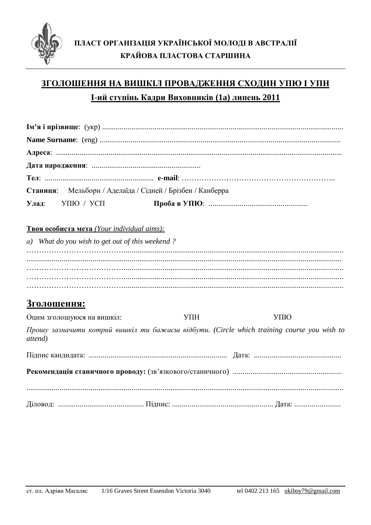

# ЗГОЛОШЕННЯ НА ВИШКІЛ ПРОВАДЖЕННЯ СХОДИН УПЮ І УПН <u>І-ий ступінь Кадри Виховників (1а) липень 2011</u>

| Станиця: Мельборн / Аделаїда / Сідней / Брізбен / Канберра                                            |     |     |
|-------------------------------------------------------------------------------------------------------|-----|-----|
| Улад:<br>УПЮ / УСП                                                                                    |     |     |
| <b>Твоя особиста мета</b> (Your individual aims):                                                     |     |     |
| a) What do you wish to get out of this weekend?                                                       |     |     |
|                                                                                                       |     |     |
|                                                                                                       |     |     |
|                                                                                                       |     |     |
|                                                                                                       |     |     |
| <b>Зголошення:</b>                                                                                    |     |     |
| Оцим зголошуюся на вишкіл:                                                                            | УПH | УПЮ |
| Прошу зазначити котрий вишкіл ти бажаєш відбути. (Circle which training course you wish to<br>attend) |     |     |
|                                                                                                       |     |     |
|                                                                                                       |     |     |
|                                                                                                       |     |     |
|                                                                                                       |     |     |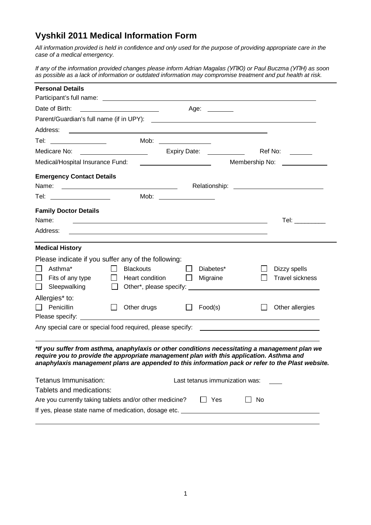## **Vyshkil 2011 Medical Information Form**

*All information provided is held in confidence and only used for the purpose of providing appropriate care in the case of a medical emergency.* 

If any of the information provided changes please inform Adrian Magalas (YNHO) or Paul Buczma (YNH) as soon *as possible as a lack of information or outdated information may compromise treatment and put health at risk.*

| <b>Personal Details</b>                                                                                                                                                                                                                                                                         |                                                                                                                                                                                       |                               |                                |              |                                                                                                                                                                                                                                                                          |
|-------------------------------------------------------------------------------------------------------------------------------------------------------------------------------------------------------------------------------------------------------------------------------------------------|---------------------------------------------------------------------------------------------------------------------------------------------------------------------------------------|-------------------------------|--------------------------------|--------------|--------------------------------------------------------------------------------------------------------------------------------------------------------------------------------------------------------------------------------------------------------------------------|
|                                                                                                                                                                                                                                                                                                 |                                                                                                                                                                                       |                               |                                |              |                                                                                                                                                                                                                                                                          |
|                                                                                                                                                                                                                                                                                                 | Age: _______                                                                                                                                                                          |                               |                                |              |                                                                                                                                                                                                                                                                          |
|                                                                                                                                                                                                                                                                                                 |                                                                                                                                                                                       |                               |                                |              |                                                                                                                                                                                                                                                                          |
|                                                                                                                                                                                                                                                                                                 |                                                                                                                                                                                       |                               |                                |              |                                                                                                                                                                                                                                                                          |
| Tel: ________________                                                                                                                                                                                                                                                                           |                                                                                                                                                                                       | Mob: $\qquad \qquad$          |                                |              |                                                                                                                                                                                                                                                                          |
|                                                                                                                                                                                                                                                                                                 | Expiry Date: <u>_________________</u>                                                                                                                                                 |                               |                                |              | Ref No: ______                                                                                                                                                                                                                                                           |
| Medical/Hospital Insurance Fund:                                                                                                                                                                                                                                                                |                                                                                                                                                                                       | Membership No: ______________ |                                |              |                                                                                                                                                                                                                                                                          |
| <b>Emergency Contact Details</b>                                                                                                                                                                                                                                                                |                                                                                                                                                                                       |                               |                                |              |                                                                                                                                                                                                                                                                          |
| Tel: __________________                                                                                                                                                                                                                                                                         |                                                                                                                                                                                       |                               |                                |              |                                                                                                                                                                                                                                                                          |
| <b>Family Doctor Details</b><br>Name:<br>Address:                                                                                                                                                                                                                                               | <u>some started and the started and the started and the started and the started and the started and the started and</u><br><u> 1989 - Johann Stoff, amerikansk politiker (* 1908)</u> |                               |                                |              | Tel: $\_\_$                                                                                                                                                                                                                                                              |
|                                                                                                                                                                                                                                                                                                 |                                                                                                                                                                                       |                               |                                |              |                                                                                                                                                                                                                                                                          |
| <b>Medical History</b>                                                                                                                                                                                                                                                                          |                                                                                                                                                                                       |                               |                                |              |                                                                                                                                                                                                                                                                          |
| Please indicate if you suffer any of the following:<br>Asthma*<br>$\perp$<br>Fits of any type $\Box$ Heart condition<br>$\mathsf{L}$<br>Sleepwalking<br>$\mathsf{L}$                                                                                                                            | $\Box$<br><b>Blackouts</b><br>$\perp$                                                                                                                                                 | $\Box$                        | Diabetes*<br>$\Box$ Migraine   | $\mathsf{L}$ | Dizzy spells<br><b>Travel sickness</b><br>Other*, please specify: example and a series of the series of the series of the series of the series of the series of the series of the series of the series of the series of the series of the series of the series of the se |
| Allergies* to:<br>$\Box$ Penicillin                                                                                                                                                                                                                                                             | $\Box$<br>Other drugs                                                                                                                                                                 | $\Box$                        | Food(s)                        |              | Other allergies                                                                                                                                                                                                                                                          |
|                                                                                                                                                                                                                                                                                                 |                                                                                                                                                                                       |                               |                                |              |                                                                                                                                                                                                                                                                          |
| *If you suffer from asthma, anaphylaxis or other conditions necessitating a management plan we<br>require you to provide the appropriate management plan with this application. Asthma and<br>anaphylaxis management plans are appended to this information pack or refer to the Plast website. |                                                                                                                                                                                       |                               |                                |              |                                                                                                                                                                                                                                                                          |
| Tetanus Immunisation:                                                                                                                                                                                                                                                                           |                                                                                                                                                                                       |                               | Last tetanus immunization was: |              |                                                                                                                                                                                                                                                                          |
| Tablets and medications:                                                                                                                                                                                                                                                                        |                                                                                                                                                                                       |                               |                                |              |                                                                                                                                                                                                                                                                          |
| Are you currently taking tablets and/or other medicine?                                                                                                                                                                                                                                         |                                                                                                                                                                                       |                               | $\Box$ Yes                     | No           |                                                                                                                                                                                                                                                                          |
|                                                                                                                                                                                                                                                                                                 |                                                                                                                                                                                       |                               |                                |              |                                                                                                                                                                                                                                                                          |
|                                                                                                                                                                                                                                                                                                 |                                                                                                                                                                                       |                               |                                |              |                                                                                                                                                                                                                                                                          |